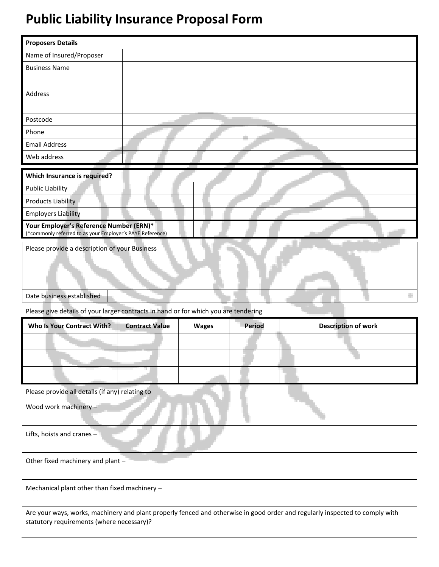# **Public Liability Insurance Proposal Form**

| <b>Proposers Details</b>                                                                                                                                                                                                                                                                                                                                                                               |                       |              |               |                            |
|--------------------------------------------------------------------------------------------------------------------------------------------------------------------------------------------------------------------------------------------------------------------------------------------------------------------------------------------------------------------------------------------------------|-----------------------|--------------|---------------|----------------------------|
| Name of Insured/Proposer                                                                                                                                                                                                                                                                                                                                                                               |                       |              |               |                            |
| <b>Business Name</b>                                                                                                                                                                                                                                                                                                                                                                                   |                       |              |               |                            |
| Address                                                                                                                                                                                                                                                                                                                                                                                                |                       |              |               |                            |
| Postcode                                                                                                                                                                                                                                                                                                                                                                                               |                       |              |               |                            |
| Phone                                                                                                                                                                                                                                                                                                                                                                                                  |                       |              |               |                            |
| <b>Email Address</b>                                                                                                                                                                                                                                                                                                                                                                                   |                       |              |               |                            |
| Web address                                                                                                                                                                                                                                                                                                                                                                                            |                       |              |               |                            |
| <b>Which Insurance is required?</b><br><b>Public Liability</b><br><b>Products Liability</b><br><b>Employers Liability</b><br>Your Employer's Reference Number (ERN)*<br>(*commonly referred to as your Employer's PAYE Reference)<br>Please provide a description of your Business<br>Date business established<br>Please give details of your larger contracts in hand or for which you are tendering |                       |              |               |                            |
| <b>Who Is Your Contract With?</b>                                                                                                                                                                                                                                                                                                                                                                      | <b>Contract Value</b> | <b>Wages</b> | <b>Period</b> | <b>Description of work</b> |
|                                                                                                                                                                                                                                                                                                                                                                                                        |                       |              |               |                            |
|                                                                                                                                                                                                                                                                                                                                                                                                        |                       |              |               |                            |
| Please provide all details (if any) relating to                                                                                                                                                                                                                                                                                                                                                        |                       |              |               |                            |
| Wood work machinery -                                                                                                                                                                                                                                                                                                                                                                                  |                       |              |               |                            |
| Lifts, hoists and cranes -                                                                                                                                                                                                                                                                                                                                                                             |                       |              |               |                            |
| Other fixed machinery and plant -                                                                                                                                                                                                                                                                                                                                                                      |                       |              |               |                            |

Mechanical plant other than fixed machinery –

Are your ways, works, machinery and plant properly fenced and otherwise in good order and regularly inspected to comply with statutory requirements (where necessary)?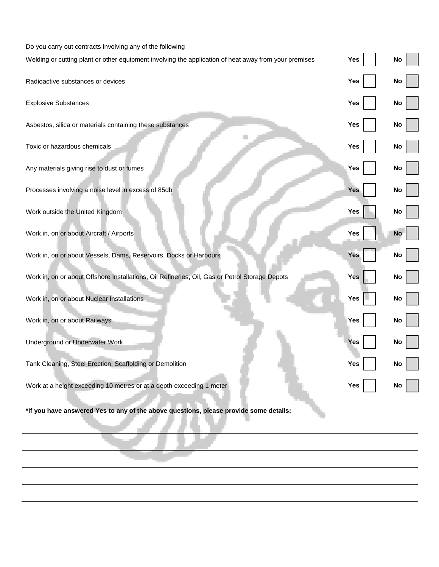| Do you carry out contracts involving any of the following                                             |            |           |
|-------------------------------------------------------------------------------------------------------|------------|-----------|
| Welding or cutting plant or other equipment involving the application of heat away from your premises | Yes        | No        |
| Radioactive substances or devices                                                                     | Yes        | No        |
| <b>Explosive Substances</b>                                                                           | Yes        | No        |
| Asbestos, silica or materials containing these substances                                             | Yes        | No        |
| Toxic or hazardous chemicals                                                                          | Yes        | No        |
| Any materials giving rise to dust or fumes                                                            | Yes        | No        |
| Processes involving a noise level in excess of 85db                                                   | <b>Yes</b> | No        |
| Work outside the United Kingdom                                                                       | <b>Yes</b> | No        |
| Work in, on or about Aircraft / Airports                                                              | Yes        | <b>No</b> |
| Work in, on or about Vessels, Dams, Reservoirs, Docks or Harbours                                     | <b>Yes</b> | No        |
| Work in, on or about Offshore Installations, Oil Refineries, Oil, Gas or Petrol Storage Depots        | Yes        | No        |
| Work in, on or about Nuclear Installations                                                            | Yes        | No        |
| Work in, on or about Railways                                                                         | Yes        | No        |
| Underground or Underwater Work                                                                        | <b>Yes</b> | No        |
| Tank Cleaning, Steel Erection, Scaffolding or Demolition                                              | res        | <b>NO</b> |
| Work at a height exceeding 10 metres or at a depth exceeding 1 meter                                  | Yes        | <b>NO</b> |
| *If you have answered Yes to any of the above questions, please provide some details:                 |            |           |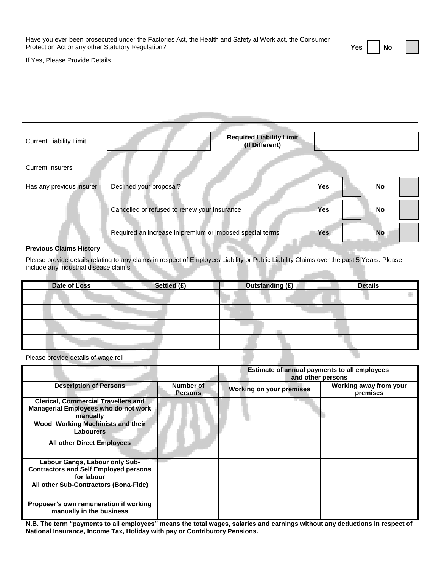| Have you ever been prosecuted under the Factories Act, the Health and Safety at Work act, the Consumer |          |  |
|--------------------------------------------------------------------------------------------------------|----------|--|
| Protection Act or any other Statutory Regulation?                                                      | Yes   No |  |

÷

If Yes, Please Provide Details

| <b>Current Liability Limit</b> | <b>Required Liability Limit</b><br>(If Different)        |            |    |
|--------------------------------|----------------------------------------------------------|------------|----|
| <b>Current Insurers</b>        |                                                          |            |    |
| Has any previous insurer       | Declined your proposal?                                  | Yes        | No |
|                                | Cancelled or refused to renew your insurance             | Yes        | No |
|                                | Required an increase in premium or imposed special terms | <b>Yes</b> | No |

## **Previous Claims History**

Please provide details relating to any claims in respect of Employers Liability or Public Liability Claims over the past 5 Years. Please include any industrial disease claims:

| Date of Loss | Settled (£) | <b>Outstanding (£)</b> | <b>Details</b> |
|--------------|-------------|------------------------|----------------|
|              |             |                        |                |
|              |             |                        |                |
|              |             |                        |                |
|              |             |                        | ۳              |

Please provide details of wage roll

|                                                                                                |                             | Estimate of annual payments to all employees |                                    |
|------------------------------------------------------------------------------------------------|-----------------------------|----------------------------------------------|------------------------------------|
|                                                                                                |                             | and other persons                            |                                    |
| <b>Description of Persons</b>                                                                  | Number of<br><b>Persons</b> | <b>Working on your premises</b>              | Working away from your<br>premises |
| <b>Clerical, Commercial Travellers and</b><br>Managerial Employees who do not work<br>manually |                             |                                              |                                    |
| Wood Working Machinists and their<br><b>Labourers</b>                                          |                             |                                              |                                    |
| <b>All other Direct Employees</b>                                                              |                             |                                              |                                    |
| Labour Gangs, Labour only Sub-                                                                 |                             |                                              |                                    |
| <b>Contractors and Self Employed persons</b><br>for labour                                     |                             |                                              |                                    |
| All other Sub-Contractors (Bona-Fide)                                                          |                             |                                              |                                    |
| Proposer's own remuneration if working<br>manually in the business                             |                             |                                              |                                    |

**N.B. The term "payments to all employees" means the total wages, salaries and earnings without any deductions in respect of National Insurance, Income Tax, Holiday with pay or Contributory Pensions.**